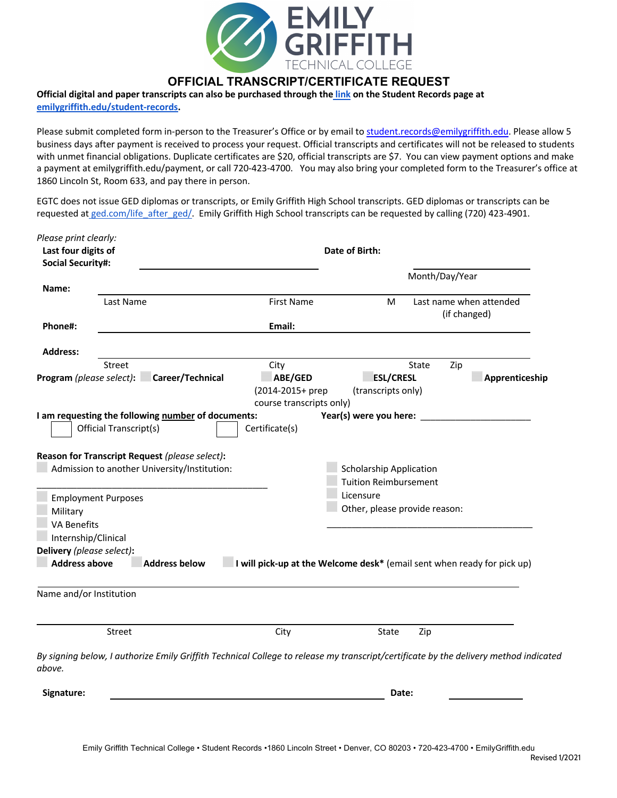

## **OFFICIAL TRANSCRIPT/CERTIFICATE REQUEST**

## **Official digital and paper transcripts can also be purchased through the link on the Student Records page at**

**emilygriffith.edu/student-records.** 

Please submit completed form in-person to the Treasurer's Office or by email to student.records@emilygriffith.edu. Please allow 5 business days after payment is received to process your request. Official transcripts and certificates will not be released to students with unmet financial obligations. Duplicate certificates are \$20, official transcripts are \$7. You can view payment options and make a payment at emilygriffith.edu/payment, or call 720-423-4700. You may also bring your completed form to the Treasurer's office at 1860 Lincoln St, Room 633, and pay there in person.

EGTC does not issue GED diplomas or transcripts, or Emily Griffith High School transcripts. GED diplomas or transcripts can be requested at ged.com/life\_after\_ged/. Emily Griffith High School transcripts can be requested by calling (720) 423-4901.

| Please print clearly:                        |                                                                                                                                      |                                                                         |                                |                |                                         |
|----------------------------------------------|--------------------------------------------------------------------------------------------------------------------------------------|-------------------------------------------------------------------------|--------------------------------|----------------|-----------------------------------------|
| Last four digits of                          |                                                                                                                                      |                                                                         | Date of Birth:                 |                |                                         |
| <b>Social Security#:</b>                     |                                                                                                                                      |                                                                         |                                |                |                                         |
|                                              |                                                                                                                                      |                                                                         |                                | Month/Day/Year |                                         |
| Name:                                        |                                                                                                                                      |                                                                         |                                |                |                                         |
|                                              | Last Name                                                                                                                            | <b>First Name</b>                                                       | M                              |                | Last name when attended<br>(if changed) |
| Phone#:                                      |                                                                                                                                      | Email:                                                                  |                                |                |                                         |
| <b>Address:</b>                              |                                                                                                                                      |                                                                         |                                |                |                                         |
|                                              | Street                                                                                                                               | City                                                                    |                                | State<br>Zip   |                                         |
| Program (please select):                     | Career/Technical                                                                                                                     | ABE/GED                                                                 | <b>ESL/CRESL</b>               |                | Apprenticeship                          |
|                                              |                                                                                                                                      | (2014-2015+ prep                                                        | (transcripts only)             |                |                                         |
|                                              |                                                                                                                                      | course transcripts only)                                                |                                |                |                                         |
|                                              | I am requesting the following number of documents:                                                                                   |                                                                         | Year(s) were you here:         |                |                                         |
|                                              | Official Transcript(s)                                                                                                               | Certificate(s)                                                          |                                |                |                                         |
|                                              | Reason for Transcript Request (please select):                                                                                       |                                                                         |                                |                |                                         |
| Admission to another University/Institution: |                                                                                                                                      |                                                                         | <b>Scholarship Application</b> |                |                                         |
|                                              |                                                                                                                                      |                                                                         | <b>Tuition Reimbursement</b>   |                |                                         |
|                                              |                                                                                                                                      |                                                                         | Licensure                      |                |                                         |
| <b>Employment Purposes</b><br>Military       |                                                                                                                                      |                                                                         | Other, please provide reason:  |                |                                         |
| <b>VA Benefits</b>                           |                                                                                                                                      |                                                                         |                                |                |                                         |
|                                              |                                                                                                                                      |                                                                         |                                |                |                                         |
| Internship/Clinical                          |                                                                                                                                      |                                                                         |                                |                |                                         |
| Delivery (please select):                    |                                                                                                                                      |                                                                         |                                |                |                                         |
| <b>Address above</b>                         | <b>Address below</b>                                                                                                                 | I will pick-up at the Welcome desk* (email sent when ready for pick up) |                                |                |                                         |
| Name and/or Institution                      |                                                                                                                                      |                                                                         |                                |                |                                         |
|                                              |                                                                                                                                      |                                                                         |                                |                |                                         |
|                                              | Street                                                                                                                               | City                                                                    | State                          | Zip            |                                         |
| above.                                       | By signing below, I authorize Emily Griffith Technical College to release my transcript/certificate by the delivery method indicated |                                                                         |                                |                |                                         |
| Signature:                                   |                                                                                                                                      |                                                                         | Date:                          |                |                                         |
|                                              |                                                                                                                                      |                                                                         |                                |                |                                         |